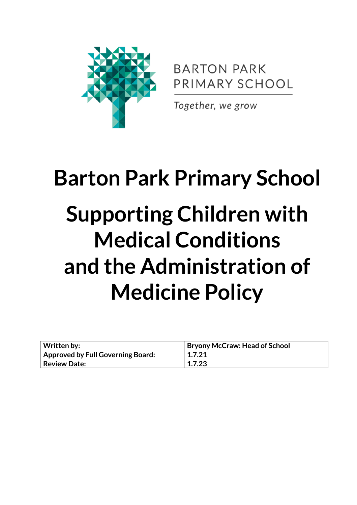

**BARTON PARK** PRIMARY SCHOOL

Together, we grow

# **Barton Park Primary School Supporting Children with Medical Conditions and the Administration of Medicine Policy**

| Written by:                       | <b>Bryony McCraw: Head of School</b> |
|-----------------------------------|--------------------------------------|
| Approved by Full Governing Board: | 1.7.21                               |
| <b>Review Date:</b>               | 1.7.23                               |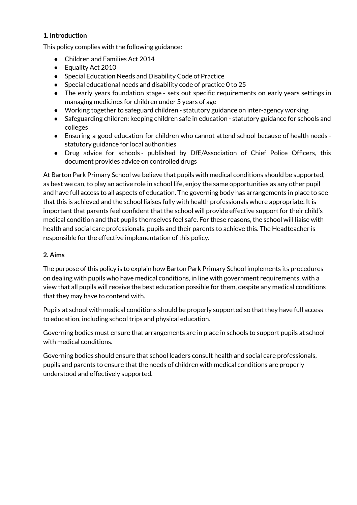# **1. Introduction**

This policy complies with the following guidance:

- Children and Families Act 2014
- Equality Act 2010
- Special Education Needs and Disability Code of Practice
- Special [educational](https://www.gov.uk/government/publications/send-code-of-practice-0-to-25) needs and disability code of practice 0 to 25
- The early years [foundation](https://www.gov.uk/government/publications/early-years-foundation-stage-framework--2) stage **-** sets out specific requirements on early years settings in managing medicines for children under 5 years of age
- Working together to [safeguard](https://www.gov.uk/government/publications/working-together-to-safeguard-children) children statutory guidance on inter-agency working
- S[afeguarding](https://www.gov.uk/government/publications/keeping-children-safe-in-education) children: keeping children safe in education statutory guidance for schools and colleges
- Ensuring a good [education](https://www.gov.uk/government/publications/education-for-children-with-health-needs-who-cannot-attend-school) for children who cannot attend school because of health needs  statutory guidance for local authorities
- Drug advice for [schools](https://www.gov.uk/government/publications/drugs-advice-for-schools) **-** published by DfE/Association of Chief Police Officers, this document provides advice on controlled drugs

At Barton Park Primary School we believe that pupils with medical conditions should be supported, as best we can, to play an active role in school life, enjoy the same opportunities as any other pupil and have full access to all aspects of education. The governing body has arrangements in place to see that this is achieved and the school liaises fully with health professionals where appropriate. It is important that parents feel confident that the school will provide effective support for their child's medical condition and that pupils themselves feel safe. For these reasons, the school will liaise with health and social care professionals, pupils and their parents to achieve this. The Headteacher is responsible for the effective implementation of this policy.

#### **2. Aims**

The purpose of this policy is to explain how Barton Park Primary School implements its procedures on dealing with pupils who have medical conditions, in line with government requirements, with a view that all pupils will receive the best education possible for them, despite any medical conditions that they may have to contend with.

Pupils at school with medical conditions should be properly supported so that they have full access to education, including school trips and physical education.

Governing bodies must ensure that arrangements are in place in schools to support pupils at school with medical conditions.

Governing bodies should ensure that school leaders consult health and social care professionals, pupils and parents to ensure that the needs of children with medical conditions are properly understood and effectively supported.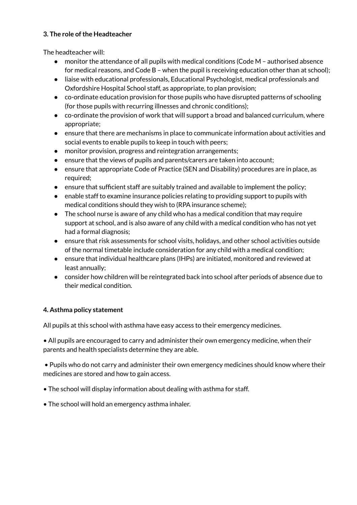#### **3. The role ofthe Headteacher**

The headteacher will:

- $\bullet$  monitor the attendance of all pupils with medical conditions (Code M authorised absence for medical reasons, and Code B – when the pupil is receiving education other than at school);
- liaise with educational professionals, Educational Psychologist, medical professionals and Oxfordshire Hospital School staff, as appropriate, to plan provision;
- co-ordinate education provision for those pupils who have disrupted patterns of schooling (for those pupils with recurring illnesses and chronic conditions);
- co-ordinate the provision of work that will support a broad and balanced curriculum, where appropriate;
- ensure that there are mechanisms in place to communicate information about activities and social events to enable pupils to keep in touch with peers;
- monitor provision, progress and reintegration arrangements;
- ensure that the views of pupils and parents/carers are taken into account;
- ensure that appropriate Code of Practice (SEN and Disability) procedures are in place, as required;
- ensure that sufficient staff are suitably trained and available to implement the policy;
- enable staff to examine insurance policies relating to providing support to pupils with medical conditions should they wish to (RPA insurance scheme);
- The school nurse is aware of any child who has a medical condition that may require support at school, and is also aware of any child with a medical condition who has not yet had a formal diagnosis;
- ensure that risk assessments for school visits, holidays, and other school activities outside of the normal timetable include consideration for any child with a medical condition;
- ensure that individual healthcare plans (IHPs) are initiated, monitored and reviewed at least annually;
- consider how children will be reintegrated back into school after periods of absence due to their medical condition.

# **4. Asthma policy statement**

All pupils at this school with asthma have easy access to their emergency medicines.

• All pupils are encouraged to carry and administer their own emergency medicine, when their parents and health specialists determine they are able.

• Pupils who do not carry and administer their own emergency medicines should know where their medicines are stored and how to gain access.

- The school will display information about dealing with asthma for staff.
- The school will hold an emergency asthma inhaler.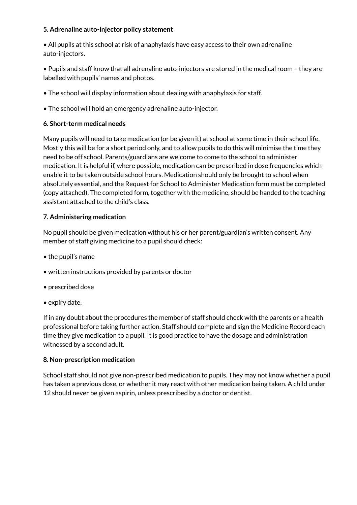#### **5. Adrenaline auto-injector policy statement**

• All pupils at this school at risk of anaphylaxis have easy access to their own adrenaline auto-injectors.

• Pupils and staff know that all adrenaline auto-injectors are stored in the medical room – they are labelled with pupils' names and photos.

- The school will display information about dealing with anaphylaxis for staff.
- The school will hold an emergency adrenaline auto-injector.

#### **6. Short-term medical needs**

Many pupils will need to take medication (or be given it) at school at some time in their school life. Mostly this will be for a short period only, and to allow pupils to do this will minimise the time they need to be off school. Parents/guardians are welcome to come to the school to administer medication. It is helpful if, where possible, medication can be prescribed in dose frequencies which enable it to be taken outside school hours. Medication should only be brought to school when absolutely essential, and the Request for School to Administer Medication form must be completed (copy attached). The completed form, together with the medicine, should be handed to the teaching assistant attached to the child's class.

#### **7. Administering medication**

No pupil should be given medication without his or her parent/guardian's written consent. Any member of staff giving medicine to a pupil should check:

- the pupil's name
- written instructions provided by parents or doctor
- prescribed dose
- expiry date.

If in any doubt about the procedures the member of staff should check with the parents or a health professional before taking further action. Staff should complete and sign the Medicine Record each time they give medication to a pupil. It is good practice to have the dosage and administration witnessed by a second adult.

#### **8. Non-prescription medication**

School staff should not give non-prescribed medication to pupils. They may not know whether a pupil has taken a previous dose, or whether it may react with other medication being taken. A child under 12 should never be given aspirin, unless prescribed by a doctor or dentist.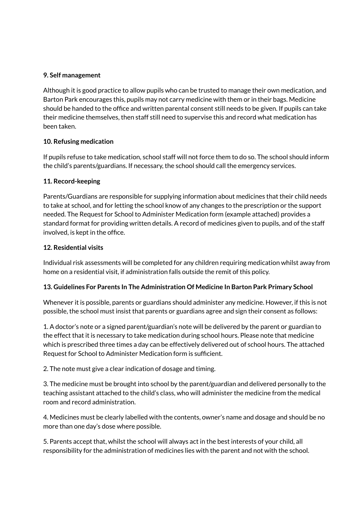#### **9. Self management**

Although it is good practice to allow pupils who can be trusted to manage their own medication, and Barton Park encourages this, pupils may not carry medicine with them or in their bags. Medicine should be handed to the office and written parental consent still needs to be given. If pupils can take their medicine themselves, then staff still need to supervise this and record what medication has been taken.

# **10. Refusing medication**

If pupils refuse to take medication, school staff will not force them to do so. The school should inform the child's parents/guardians. If necessary, the school should call the emergency services.

# **11. Record-keeping**

Parents/Guardians are responsible for supplying information about medicines that their child needs to take at school, and for letting the school know of any changes to the prescription or the support needed. The Request for School to Administer Medication form (example attached) provides a standard format for providing written details. A record of medicines given to pupils, and of the staff involved, is kept in the office.

# **12. Residential visits**

Individual risk assessments will be completed for any children requiring medication whilst away from home on a residential visit, if administration falls outside the remit of this policy.

# **13. Guidelines For Parents In The Administration Of Medicine In Barton Park Primary School**

Whenever it is possible, parents or guardians should administer any medicine. However, if this is not possible, the school must insist that parents or guardians agree and sign their consent as follows:

1. A doctor's note or a signed parent/guardian's note will be delivered by the parent or guardian to the effect that it is necessary to take medication during school hours. Please note that medicine which is prescribed three times a day can be effectively delivered out of school hours. The attached Request for School to Administer Medication form is sufficient.

2. The note must give a clear indication of dosage and timing.

3. The medicine must be brought into school by the parent/guardian and delivered personally to the teaching assistant attached to the child's class, who will administer the medicine from the medical room and record administration.

4. Medicines must be clearly labelled with the contents, owner's name and dosage and should be no more than one day's dose where possible.

5. Parents accept that, whilst the school will always act in the best interests of your child, all responsibility for the administration of medicines lies with the parent and not with the school.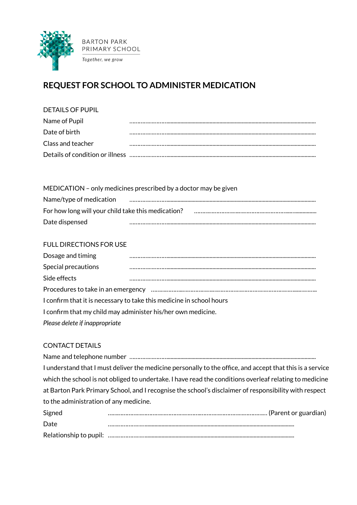

# **REQUEST FOR SCHOOL TO ADMINISTER MEDICATION**

#### DETAILS OF PUPIL

| Name of Pupil     |  |
|-------------------|--|
| Date of birth     |  |
| Class and teacher |  |
|                   |  |

MEDICATION – only medicines prescribed by a doctor may be given Name/type of medication …………………….......................................................................................................... For how long will your child take this medication? ……………………………………………………………………………… Date dispensed ……………………..........................................................................................................

# FULL DIRECTIONS FOR USE

| Dosage and timing                                                    |  |  |  |  |  |
|----------------------------------------------------------------------|--|--|--|--|--|
| Special precautions                                                  |  |  |  |  |  |
| Side effects                                                         |  |  |  |  |  |
|                                                                      |  |  |  |  |  |
| I confirm that it is necessary to take this medicine in school hours |  |  |  |  |  |
| I confirm that my child may administer his/her own medicine.         |  |  |  |  |  |
| Please delete if inappropriate                                       |  |  |  |  |  |

# CONTACT DETAILS

| I understand that I must deliver the medicine personally to the office, and accept that this is a service |
|-----------------------------------------------------------------------------------------------------------|
| which the school is not obliged to undertake. I have read the conditions overleaf relating to medicine    |
| at Barton Park Primary School, and I recognise the school's disclaimer of responsibility with respect     |
| to the administration of any medicine.                                                                    |
|                                                                                                           |

| Signed |  |
|--------|--|
| Date   |  |
|        |  |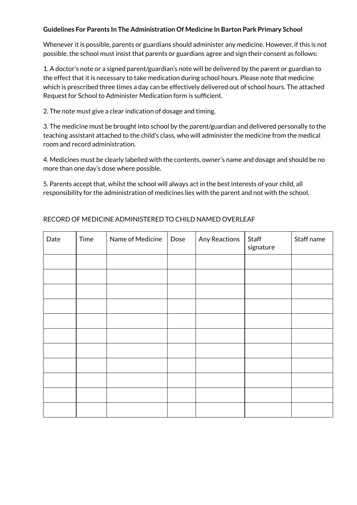#### **Guidelines For Parents In The Administration Of Medicine In Barton Park Primary School**

Whenever it is possible, parents or guardians should administer any medicine. However, if this is not possible, the school must insist that parents or guardians agree and sign their consent as follows:

1. A doctor's note or a signed parent/guardian's note will be delivered by the parent or guardian to the effect that it is necessary to take medication during school hours. Please note that medicine which is prescribed three times a day can be effectively delivered out of school hours. The attached Request for School to Administer Medication form is sufficient.

2. The note must give a clear indication of dosage and timing.

3. The medicine must be brought into school by the parent/guardian and delivered personally to the teaching assistant attached to the child's class, who will administer the medicine from the medical room and record administration.

4. Medicines must be clearly labelled with the contents, owner's name and dosage and should be no more than one day's dose where possible.

5. Parents accept that, whilst the school will always act in the best interests of your child, all responsibility for the administration of medicines lies with the parent and not with the school.

| Date | Time | Name of Medicine | Dose | Any Reactions | Staff<br>signature | Staff name |
|------|------|------------------|------|---------------|--------------------|------------|
|      |      |                  |      |               |                    |            |
|      |      |                  |      |               |                    |            |
|      |      |                  |      |               |                    |            |
|      |      |                  |      |               |                    |            |
|      |      |                  |      |               |                    |            |
|      |      |                  |      |               |                    |            |
|      |      |                  |      |               |                    |            |
|      |      |                  |      |               |                    |            |
|      |      |                  |      |               |                    |            |
|      |      |                  |      |               |                    |            |
|      |      |                  |      |               |                    |            |

# RECORD OF MEDICINE ADMINISTERED TO CHILD NAMED OVERLEAF